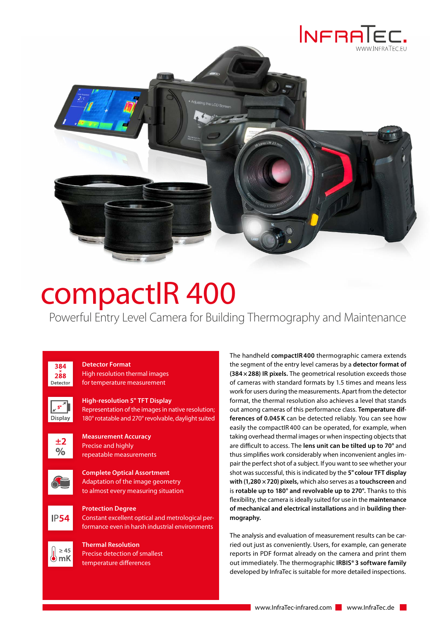



## compactIR 400

Powerful Entry Level Camera for Building Thermography and Maintenance

384  $288$ Detector



**Detector Format**

**High-resolution 5" TFT Display** Representation of the images in native resolution; 180° rotatable and 270° revolvable, daylight suited



**Display** 

**Measurement Accuracy** Precise and highly repeatable measurements



**Complete Optical Assortment** Adaptation of the image geometry to almost every measuring situation



**Protection Degree** Constant excellent optical and metrological performance even in harsh industrial environments

 $\geq 45$ ë)mK

**Thermal Resolution** Precise detection of smallest temperature differences

The handheld **compactIR 400** thermographic camera extends the segment of the entry level cameras by a **detector format of (384×288) IR pixels.** The geometrical resolution exceeds those of cameras with standard formats by 1.5 times and means less work for users during the measurements. Apart from the detector format, the thermal resolution also achieves a level that stands out among cameras of this performance class. **Temperature differences of 0.045K** can be detected reliably. You can see how easily the compactIR 400 can be operated, for example, when taking overhead thermal images or when inspecting objects that are difficult to access. The **lens unit can be tilted up to 70°** and thus simplifies work considerably when inconvenient angles impair the perfect shot of a subject. If you want to see whether your shot was successful, this is indicated by the **5" colour TFT display with (1,280 ×720) pixels,** which also serves as a **touchscreen** and is **rotable up to 180° and revolvable up to 270°.** Thanks to this flexibility, the camera is ideally suited for use in the **maintenance of mechanical and electrical installations** and in **building thermography.**

The analysis and evaluation of measurement results can be carried out just as conveniently. Users, for example, can generate reports in PDF format already on the camera and print them out immediately. The thermographic **IRBIS®3 software family** developed by InfraTec is suitable for more detailed inspections.